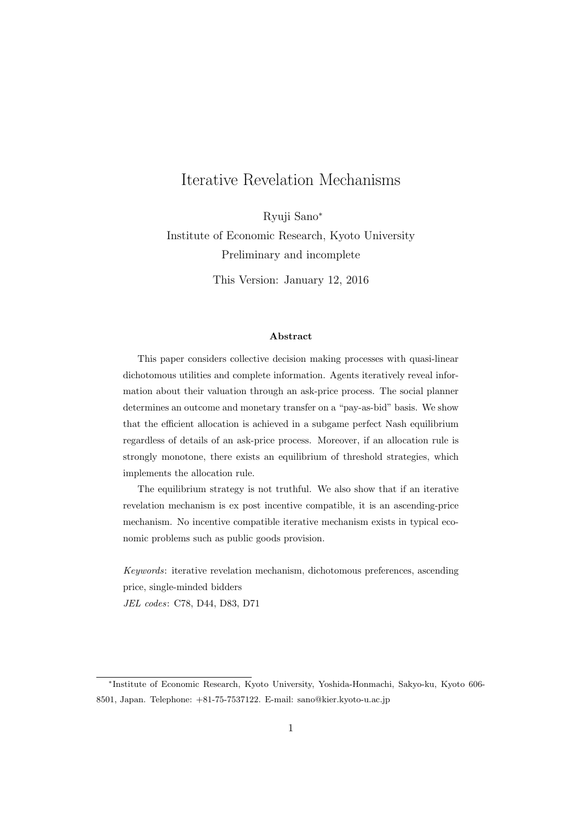# Iterative Revelation Mechanisms

Ryuji Sano*<sup>∗</sup>* Institute of Economic Research, Kyoto University Preliminary and incomplete

This Version: January 12, 2016

### **Abstract**

This paper considers collective decision making processes with quasi-linear dichotomous utilities and complete information. Agents iteratively reveal information about their valuation through an ask-price process. The social planner determines an outcome and monetary transfer on a "pay-as-bid" basis. We show that the efficient allocation is achieved in a subgame perfect Nash equilibrium regardless of details of an ask-price process. Moreover, if an allocation rule is strongly monotone, there exists an equilibrium of threshold strategies, which implements the allocation rule.

The equilibrium strategy is not truthful. We also show that if an iterative revelation mechanism is ex post incentive compatible, it is an ascending-price mechanism. No incentive compatible iterative mechanism exists in typical economic problems such as public goods provision.

*Keywords*: iterative revelation mechanism, dichotomous preferences, ascending price, single-minded bidders

*JEL codes*: C78, D44, D83, D71

*<sup>∗</sup>* Institute of Economic Research, Kyoto University, Yoshida-Honmachi, Sakyo-ku, Kyoto 606- 8501, Japan. Telephone: +81-75-7537122. E-mail: sano@kier.kyoto-u.ac.jp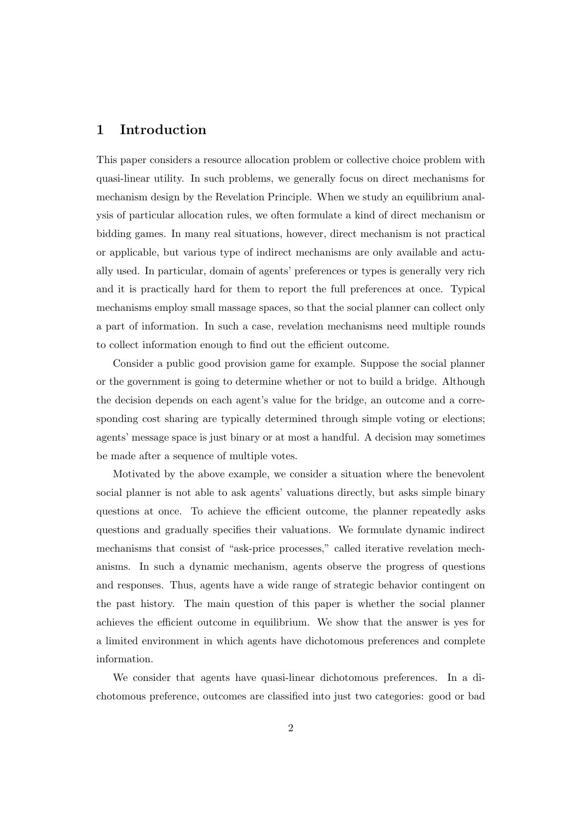# **1 Introduction**

This paper considers a resource allocation problem or collective choice problem with quasi-linear utility. In such problems, we generally focus on direct mechanisms for mechanism design by the Revelation Principle. When we study an equilibrium analysis of particular allocation rules, we often formulate a kind of direct mechanism or bidding games. In many real situations, however, direct mechanism is not practical or applicable, but various type of indirect mechanisms are only available and actually used. In particular, domain of agents' preferences or types is generally very rich and it is practically hard for them to report the full preferences at once. Typical mechanisms employ small massage spaces, so that the social planner can collect only a part of information. In such a case, revelation mechanisms need multiple rounds to collect information enough to find out the efficient outcome.

Consider a public good provision game for example. Suppose the social planner or the government is going to determine whether or not to build a bridge. Although the decision depends on each agent's value for the bridge, an outcome and a corresponding cost sharing are typically determined through simple voting or elections; agents' message space is just binary or at most a handful. A decision may sometimes be made after a sequence of multiple votes.

Motivated by the above example, we consider a situation where the benevolent social planner is not able to ask agents' valuations directly, but asks simple binary questions at once. To achieve the efficient outcome, the planner repeatedly asks questions and gradually specifies their valuations. We formulate dynamic indirect mechanisms that consist of "ask-price processes," called iterative revelation mechanisms. In such a dynamic mechanism, agents observe the progress of questions and responses. Thus, agents have a wide range of strategic behavior contingent on the past history. The main question of this paper is whether the social planner achieves the efficient outcome in equilibrium. We show that the answer is yes for a limited environment in which agents have dichotomous preferences and complete information.

We consider that agents have quasi-linear dichotomous preferences. In a dichotomous preference, outcomes are classified into just two categories: good or bad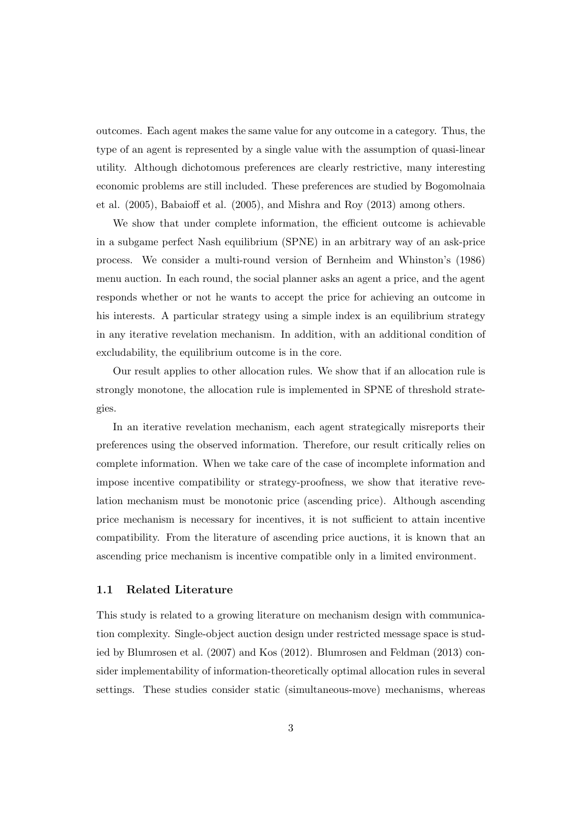outcomes. Each agent makes the same value for any outcome in a category. Thus, the type of an agent is represented by a single value with the assumption of quasi-linear utility. Although dichotomous preferences are clearly restrictive, many interesting economic problems are still included. These preferences are studied by Bogomolnaia et al. (2005), Babaioff et al. (2005), and Mishra and Roy (2013) among others.

We show that under complete information, the efficient outcome is achievable in a subgame perfect Nash equilibrium (SPNE) in an arbitrary way of an ask-price process. We consider a multi-round version of Bernheim and Whinston's (1986) menu auction. In each round, the social planner asks an agent a price, and the agent responds whether or not he wants to accept the price for achieving an outcome in his interests. A particular strategy using a simple index is an equilibrium strategy in any iterative revelation mechanism. In addition, with an additional condition of excludability, the equilibrium outcome is in the core.

Our result applies to other allocation rules. We show that if an allocation rule is strongly monotone, the allocation rule is implemented in SPNE of threshold strategies.

In an iterative revelation mechanism, each agent strategically misreports their preferences using the observed information. Therefore, our result critically relies on complete information. When we take care of the case of incomplete information and impose incentive compatibility or strategy-proofness, we show that iterative revelation mechanism must be monotonic price (ascending price). Although ascending price mechanism is necessary for incentives, it is not sufficient to attain incentive compatibility. From the literature of ascending price auctions, it is known that an ascending price mechanism is incentive compatible only in a limited environment.

#### **1.1 Related Literature**

This study is related to a growing literature on mechanism design with communication complexity. Single-object auction design under restricted message space is studied by Blumrosen et al. (2007) and Kos (2012). Blumrosen and Feldman (2013) consider implementability of information-theoretically optimal allocation rules in several settings. These studies consider static (simultaneous-move) mechanisms, whereas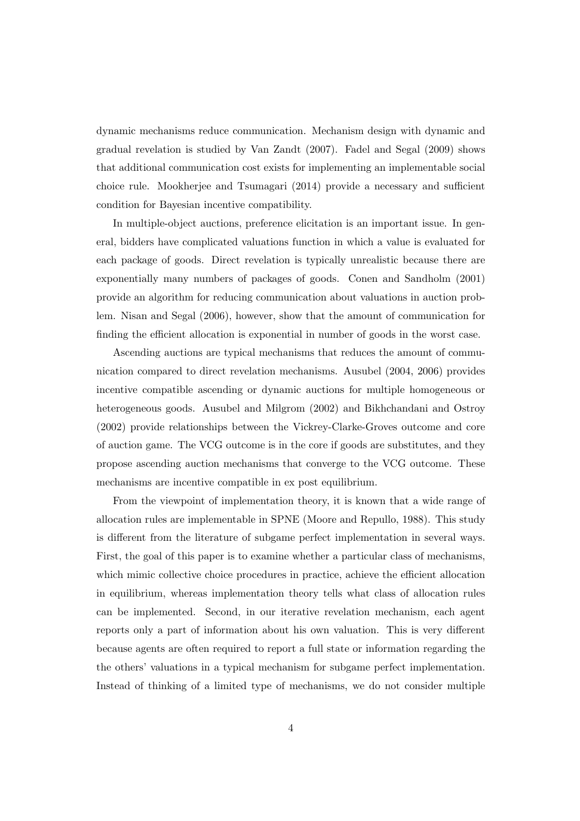dynamic mechanisms reduce communication. Mechanism design with dynamic and gradual revelation is studied by Van Zandt (2007). Fadel and Segal (2009) shows that additional communication cost exists for implementing an implementable social choice rule. Mookherjee and Tsumagari (2014) provide a necessary and sufficient condition for Bayesian incentive compatibility.

In multiple-object auctions, preference elicitation is an important issue. In general, bidders have complicated valuations function in which a value is evaluated for each package of goods. Direct revelation is typically unrealistic because there are exponentially many numbers of packages of goods. Conen and Sandholm (2001) provide an algorithm for reducing communication about valuations in auction problem. Nisan and Segal (2006), however, show that the amount of communication for finding the efficient allocation is exponential in number of goods in the worst case.

Ascending auctions are typical mechanisms that reduces the amount of communication compared to direct revelation mechanisms. Ausubel (2004, 2006) provides incentive compatible ascending or dynamic auctions for multiple homogeneous or heterogeneous goods. Ausubel and Milgrom (2002) and Bikhchandani and Ostroy (2002) provide relationships between the Vickrey-Clarke-Groves outcome and core of auction game. The VCG outcome is in the core if goods are substitutes, and they propose ascending auction mechanisms that converge to the VCG outcome. These mechanisms are incentive compatible in ex post equilibrium.

From the viewpoint of implementation theory, it is known that a wide range of allocation rules are implementable in SPNE (Moore and Repullo, 1988). This study is different from the literature of subgame perfect implementation in several ways. First, the goal of this paper is to examine whether a particular class of mechanisms, which mimic collective choice procedures in practice, achieve the efficient allocation in equilibrium, whereas implementation theory tells what class of allocation rules can be implemented. Second, in our iterative revelation mechanism, each agent reports only a part of information about his own valuation. This is very different because agents are often required to report a full state or information regarding the the others' valuations in a typical mechanism for subgame perfect implementation. Instead of thinking of a limited type of mechanisms, we do not consider multiple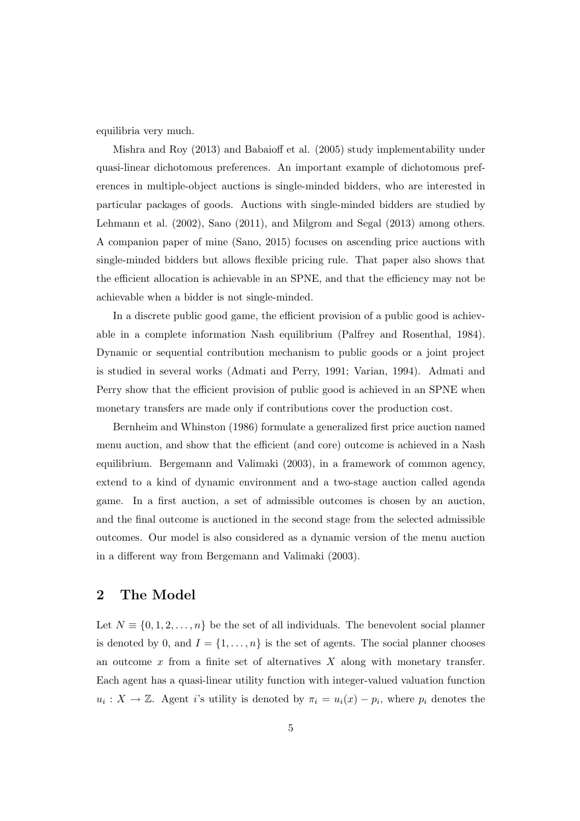equilibria very much.

Mishra and Roy (2013) and Babaioff et al. (2005) study implementability under quasi-linear dichotomous preferences. An important example of dichotomous preferences in multiple-object auctions is single-minded bidders, who are interested in particular packages of goods. Auctions with single-minded bidders are studied by Lehmann et al. (2002), Sano (2011), and Milgrom and Segal (2013) among others. A companion paper of mine (Sano, 2015) focuses on ascending price auctions with single-minded bidders but allows flexible pricing rule. That paper also shows that the efficient allocation is achievable in an SPNE, and that the efficiency may not be achievable when a bidder is not single-minded.

In a discrete public good game, the efficient provision of a public good is achievable in a complete information Nash equilibrium (Palfrey and Rosenthal, 1984). Dynamic or sequential contribution mechanism to public goods or a joint project is studied in several works (Admati and Perry, 1991; Varian, 1994). Admati and Perry show that the efficient provision of public good is achieved in an SPNE when monetary transfers are made only if contributions cover the production cost.

Bernheim and Whinston (1986) formulate a generalized first price auction named menu auction, and show that the efficient (and core) outcome is achieved in a Nash equilibrium. Bergemann and Valimaki (2003), in a framework of common agency, extend to a kind of dynamic environment and a two-stage auction called agenda game. In a first auction, a set of admissible outcomes is chosen by an auction, and the final outcome is auctioned in the second stage from the selected admissible outcomes. Our model is also considered as a dynamic version of the menu auction in a different way from Bergemann and Valimaki (2003).

# **2 The Model**

Let  $N \equiv \{0, 1, 2, \ldots, n\}$  be the set of all individuals. The benevolent social planner is denoted by 0, and  $I = \{1, \ldots, n\}$  is the set of agents. The social planner chooses an outcome *x* from a finite set of alternatives *X* along with monetary transfer. Each agent has a quasi-linear utility function with integer-valued valuation function  $u_i: X \to \mathbb{Z}$ . Agent *i*'s utility is denoted by  $\pi_i = u_i(x) - p_i$ , where  $p_i$  denotes the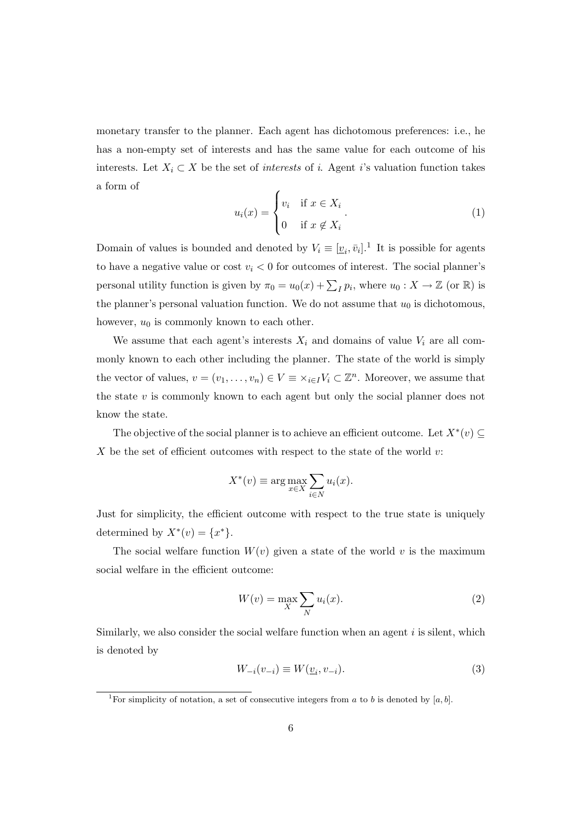monetary transfer to the planner. Each agent has dichotomous preferences: i.e., he has a non-empty set of interests and has the same value for each outcome of his interests. Let  $X_i \subset X$  be the set of *interests* of *i*. Agent *i*'s valuation function takes a form of

$$
u_i(x) = \begin{cases} v_i & \text{if } x \in X_i \\ 0 & \text{if } x \notin X_i \end{cases}.
$$
 (1)

Domain of values is bounded and denoted by  $V_i \equiv [\underline{v}_i, \bar{v}_i]$ .<sup>1</sup> It is possible for agents to have a negative value or cost  $v_i < 0$  for outcomes of interest. The social planner's personal utility function is given by  $\pi_0 = u_0(x) + \sum_I p_i$ , where  $u_0: X \to \mathbb{Z}$  (or R) is the planner's personal valuation function. We do not assume that  $u_0$  is dichotomous, however, *u*<sup>0</sup> is commonly known to each other.

We assume that each agent's interests  $X_i$  and domains of value  $V_i$  are all commonly known to each other including the planner. The state of the world is simply the vector of values,  $v = (v_1, \ldots, v_n) \in V \equiv \times_{i \in I} V_i \subset \mathbb{Z}^n$ . Moreover, we assume that the state *v* is commonly known to each agent but only the social planner does not know the state.

The objective of the social planner is to achieve an efficient outcome. Let  $X^*(v) \subseteq$ *X* be the set of efficient outcomes with respect to the state of the world *v*:

$$
X^*(v) \equiv \arg \max_{x \in X} \sum_{i \in N} u_i(x).
$$

Just for simplicity, the efficient outcome with respect to the true state is uniquely determined by  $X^*(v) = \{x^*\}.$ 

The social welfare function  $W(v)$  given a state of the world v is the maximum social welfare in the efficient outcome:

$$
W(v) = \max_{X} \sum_{N} u_i(x).
$$
 (2)

Similarly, we also consider the social welfare function when an agent *i* is silent, which is denoted by

$$
W_{-i}(v_{-i}) \equiv W(\underline{v}_i, v_{-i}).
$$
\n(3)

<sup>&</sup>lt;sup>1</sup>For simplicity of notation, a set of consecutive integers from *a* to *b* is denoted by [*a, b*].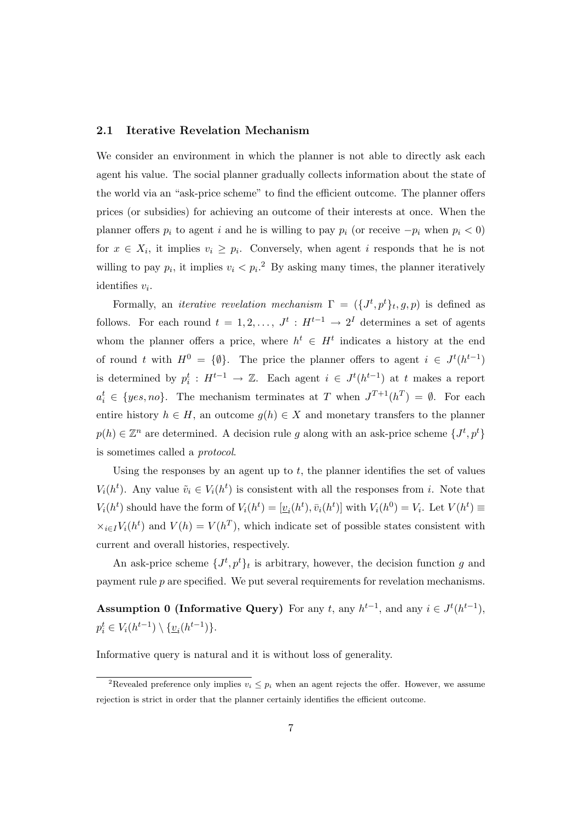### **2.1 Iterative Revelation Mechanism**

We consider an environment in which the planner is not able to directly ask each agent his value. The social planner gradually collects information about the state of the world via an "ask-price scheme" to find the efficient outcome. The planner offers prices (or subsidies) for achieving an outcome of their interests at once. When the planner offers  $p_i$  to agent *i* and he is willing to pay  $p_i$  (or receive  $-p_i$  when  $p_i < 0$ ) for  $x \in X_i$ , it implies  $v_i \geq p_i$ . Conversely, when agent *i* responds that he is not willing to pay  $p_i$ , it implies  $v_i < p_i$ <sup>2</sup> By asking many times, the planner iteratively identifies *v<sup>i</sup>* .

Formally, an *iterative revelation mechanism*  $\Gamma = (\{J^t, p^t\}_t, g, p)$  is defined as follows. For each round  $t = 1, 2, \ldots, J^t : H^{t-1} \to 2^I$  determines a set of agents whom the planner offers a price, where  $h^t \in H^t$  indicates a history at the end of round *t* with  $H^0 = \{\emptyset\}$ . The price the planner offers to agent  $i \in J^t(h^{t-1})$ is determined by  $p_i^t: H^{t-1} \to \mathbb{Z}$ . Each agent  $i \in J^t(h^{t-1})$  at *t* makes a report  $a_i^t \in \{yes, no\}$ . The mechanism terminates at *T* when  $J^{T+1}(h^T) = \emptyset$ . For each entire history  $h \in H$ , an outcome  $g(h) \in X$  and monetary transfers to the planner  $p(h) \in \mathbb{Z}^n$  are determined. A decision rule *g* along with an ask-price scheme  $\{J^t, p^t\}$ is sometimes called a *protocol*.

Using the responses by an agent up to *t*, the planner identifies the set of values *V*<sub>*i*</sub>(*h*<sup>*t*</sup>). Any value  $\tilde{v}_i \in V_i(h^t)$  is consistent with all the responses from *i*. Note that  $V_i(h^t)$  should have the form of  $V_i(h^t) = [\underline{v}_i(h^t), \overline{v}_i(h^t)]$  with  $V_i(h^0) = V_i$ . Let  $V(h^t) \equiv$  $\times_{i \in I} V_i(h^t)$  and  $V(h) = V(h^T)$ , which indicate set of possible states consistent with current and overall histories, respectively.

An ask-price scheme  $\{J^t, p^t\}_t$  is arbitrary, however, the decision function *g* and payment rule *p* are specified. We put several requirements for revelation mechanisms.

**Assumption 0 (Informative Query)** For any *t*, any  $h^{t-1}$ , and any  $i \in J^t(h^{t-1})$ ,  $p_i^t \in V_i(h^{t-1}) \setminus \{v_i(h^{t-1})\}.$ 

Informative query is natural and it is without loss of generality.

<sup>&</sup>lt;sup>2</sup>Revealed preference only implies  $v_i \leq p_i$  when an agent rejects the offer. However, we assume rejection is strict in order that the planner certainly identifies the efficient outcome.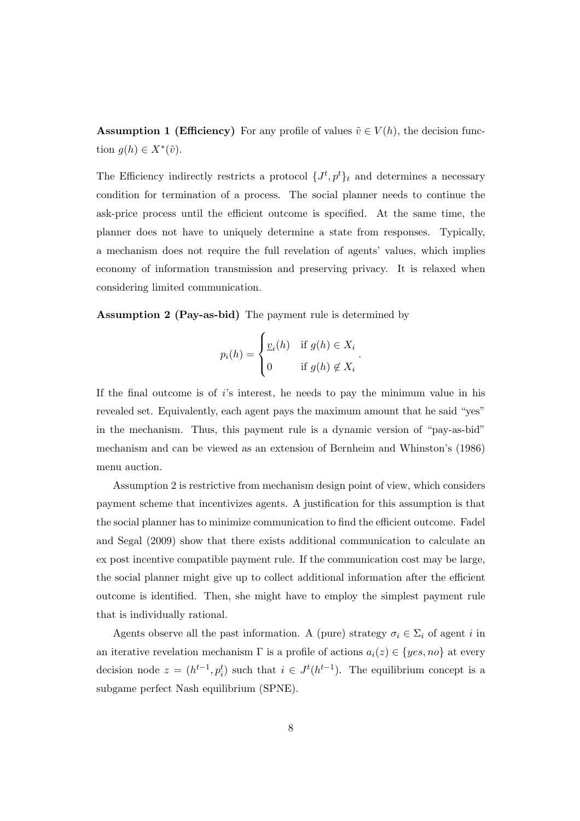**Assumption 1 (Efficiency)** For any profile of values  $\tilde{v} \in V(h)$ , the decision function  $g(h) \in X^*(\tilde{v})$ .

The Efficiency indirectly restricts a protocol  $\{J^t, p^t\}_t$  and determines a necessary condition for termination of a process. The social planner needs to continue the ask-price process until the efficient outcome is specified. At the same time, the planner does not have to uniquely determine a state from responses. Typically, a mechanism does not require the full revelation of agents' values, which implies economy of information transmission and preserving privacy. It is relaxed when considering limited communication.

**Assumption 2 (Pay-as-bid)** The payment rule is determined by

$$
p_i(h) = \begin{cases} \underline{v}_i(h) & \text{if } g(h) \in X_i \\ 0 & \text{if } g(h) \notin X_i \end{cases}.
$$

If the final outcome is of *i*'s interest, he needs to pay the minimum value in his revealed set. Equivalently, each agent pays the maximum amount that he said "yes" in the mechanism. Thus, this payment rule is a dynamic version of "pay-as-bid" mechanism and can be viewed as an extension of Bernheim and Whinston's (1986) menu auction.

Assumption 2 is restrictive from mechanism design point of view, which considers payment scheme that incentivizes agents. A justification for this assumption is that the social planner has to minimize communication to find the efficient outcome. Fadel and Segal (2009) show that there exists additional communication to calculate an ex post incentive compatible payment rule. If the communication cost may be large, the social planner might give up to collect additional information after the efficient outcome is identified. Then, she might have to employ the simplest payment rule that is individually rational.

Agents observe all the past information. A (pure) strategy  $\sigma_i \in \Sigma_i$  of agent *i* in an iterative revelation mechanism  $\Gamma$  is a profile of actions  $a_i(z) \in \{yes, no\}$  at every decision node  $z = (h^{t-1}, p_i^t)$  such that  $i \in J^t(h^{t-1})$ . The equilibrium concept is a subgame perfect Nash equilibrium (SPNE).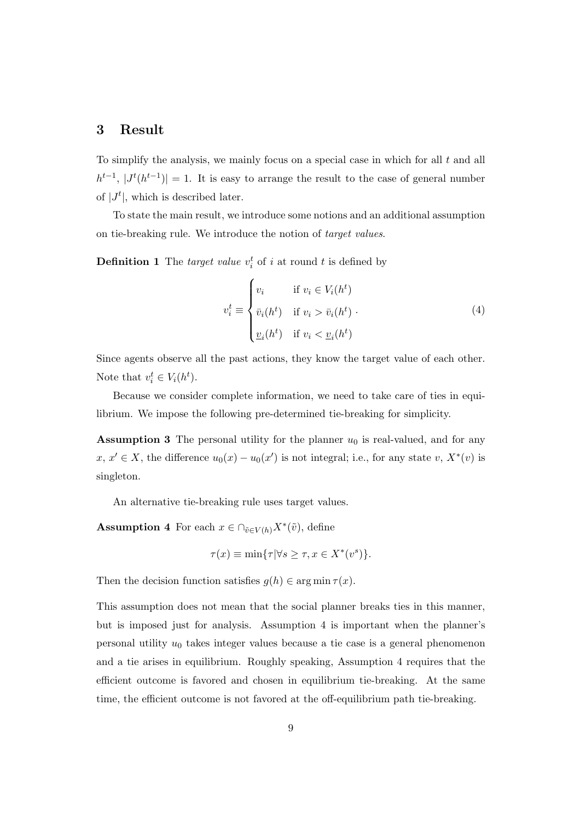## **3 Result**

To simplify the analysis, we mainly focus on a special case in which for all *t* and all  $h^{t-1}$ ,  $|J^t(h^{t-1})| = 1$ . It is easy to arrange the result to the case of general number of  $|J^t|$ , which is described later.

To state the main result, we introduce some notions and an additional assumption on tie-breaking rule. We introduce the notion of *target values*.

**Definition 1** The *target value*  $v_i^t$  of *i* at round *t* is defined by

$$
v_i^t \equiv \begin{cases} v_i & \text{if } v_i \in V_i(h^t) \\ \bar{v}_i(h^t) & \text{if } v_i > \bar{v}_i(h^t) \\ \underline{v}_i(h^t) & \text{if } v_i < \underline{v}_i(h^t) \end{cases}
$$
 (4)

Since agents observe all the past actions, they know the target value of each other. Note that  $v_i^t \in V_i(h^t)$ .

Because we consider complete information, we need to take care of ties in equilibrium. We impose the following pre-determined tie-breaking for simplicity.

**Assumption 3** The personal utility for the planner  $u_0$  is real-valued, and for any  $x, x' \in X$ , the difference  $u_0(x) - u_0(x')$  is not integral; i.e., for any state *v*,  $X^*(v)$  is singleton.

An alternative tie-breaking rule uses target values.

**Assumption 4** For each  $x \in \bigcap_{\tilde{v} \in V(h)} X^*(\tilde{v})$ , define

$$
\tau(x) \equiv \min\{\tau | \forall s \ge \tau, x \in X^*(v^s)\}.
$$

Then the decision function satisfies  $g(h) \in \arg \min \tau(x)$ .

This assumption does not mean that the social planner breaks ties in this manner, but is imposed just for analysis. Assumption 4 is important when the planner's personal utility *u*<sup>0</sup> takes integer values because a tie case is a general phenomenon and a tie arises in equilibrium. Roughly speaking, Assumption 4 requires that the efficient outcome is favored and chosen in equilibrium tie-breaking. At the same time, the efficient outcome is not favored at the off-equilibrium path tie-breaking.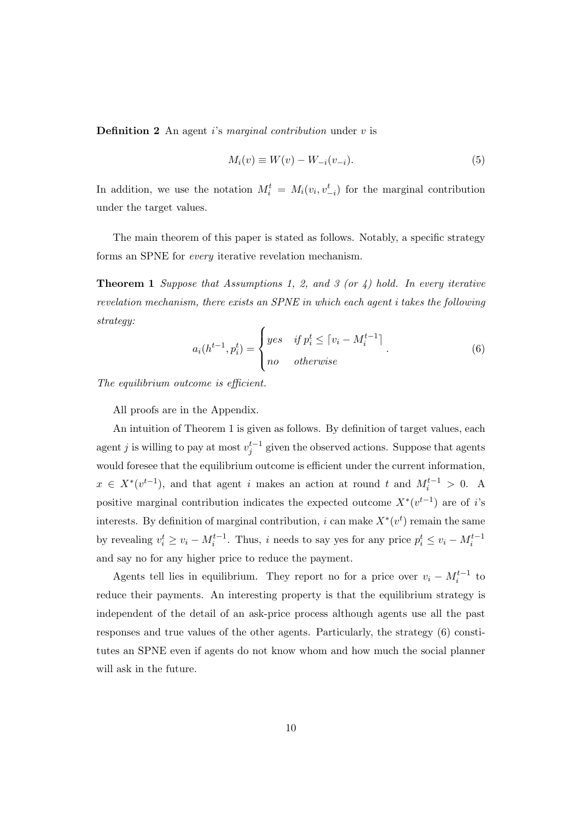**Definition 2** An agent *i*'s *marginal contribution* under *v* is

$$
M_i(v) \equiv W(v) - W_{-i}(v_{-i}).
$$
\n(5)

In addition, we use the notation  $M_i^t = M_i(v_i, v_{-i}^t)$  for the marginal contribution under the target values.

The main theorem of this paper is stated as follows. Notably, a specific strategy forms an SPNE for *every* iterative revelation mechanism.

**Theorem 1** *Suppose that Assumptions 1, 2, and 3 (or 4) hold. In every iterative revelation mechanism, there exists an SPNE in which each agent i takes the following strategy:*

$$
a_i(h^{t-1}, p_i^t) = \begin{cases} yes & \text{if } p_i^t \le \lceil v_i - M_i^{t-1} \rceil \\ no & \text{otherwise} \end{cases} . \tag{6}
$$

*The equilibrium outcome is efficient.*

All proofs are in the Appendix.

An intuition of Theorem 1 is given as follows. By definition of target values, each agent *j* is willing to pay at most  $v_j^{t-1}$  given the observed actions. Suppose that agents would foresee that the equilibrium outcome is efficient under the current information,  $x \in X^*(v^{t-1})$ , and that agent *i* makes an action at round *t* and  $M_i^{t-1} > 0$ . A positive marginal contribution indicates the expected outcome  $X^*(v^{t-1})$  are of *i*'s interests. By definition of marginal contribution, *i* can make  $X^*(v^t)$  remain the same by revealing  $v_i^t \ge v_i - M_i^{t-1}$ . Thus, i needs to say yes for any price  $p_i^t \le v_i - M_i^{t-1}$ and say no for any higher price to reduce the payment.

Agents tell lies in equilibrium. They report no for a price over  $v_i - M_i^{t-1}$  to reduce their payments. An interesting property is that the equilibrium strategy is independent of the detail of an ask-price process although agents use all the past responses and true values of the other agents. Particularly, the strategy (6) constitutes an SPNE even if agents do not know whom and how much the social planner will ask in the future.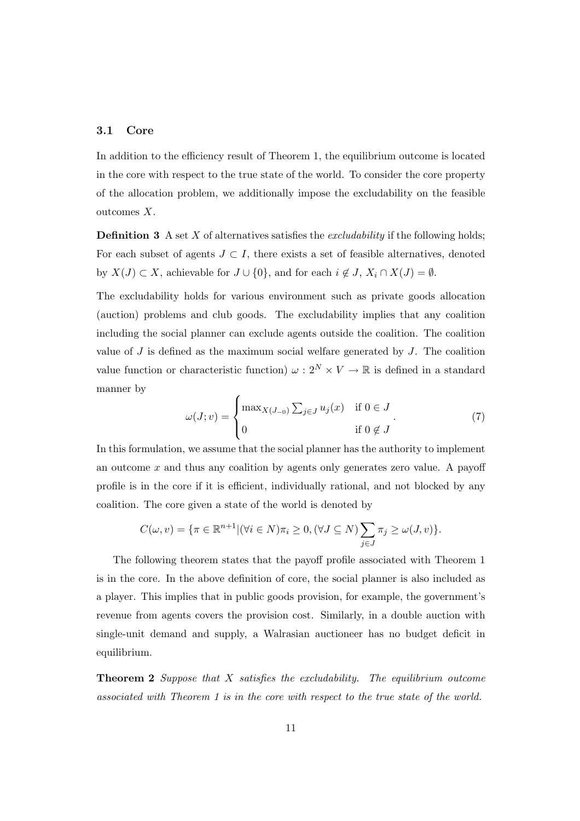### **3.1 Core**

In addition to the efficiency result of Theorem 1, the equilibrium outcome is located in the core with respect to the true state of the world. To consider the core property of the allocation problem, we additionally impose the excludability on the feasible outcomes *X*.

**Definition 3** A set *X* of alternatives satisfies the *excludability* if the following holds; For each subset of agents  $J \subset I$ , there exists a set of feasible alternatives, denoted by  $X(J) \subset X$ , achievable for  $J \cup \{0\}$ , and for each  $i \notin J$ ,  $X_i \cap X(J) = \emptyset$ .

The excludability holds for various environment such as private goods allocation (auction) problems and club goods. The excludability implies that any coalition including the social planner can exclude agents outside the coalition. The coalition value of *J* is defined as the maximum social welfare generated by *J*. The coalition value function or characteristic function)  $\omega: 2^N \times V \to \mathbb{R}$  is defined in a standard manner by

$$
\omega(J; v) = \begin{cases} \max_{X(J_{-0})} \sum_{j \in J} u_j(x) & \text{if } 0 \in J \\ 0 & \text{if } 0 \notin J \end{cases}
$$
 (7)

In this formulation, we assume that the social planner has the authority to implement an outcome *x* and thus any coalition by agents only generates zero value. A payoff profile is in the core if it is efficient, individually rational, and not blocked by any coalition. The core given a state of the world is denoted by

$$
C(\omega, v) = \{ \pi \in \mathbb{R}^{n+1} | (\forall i \in N) \pi_i \ge 0, (\forall J \subseteq N) \sum_{j \in J} \pi_j \ge \omega(J, v) \}.
$$

The following theorem states that the payoff profile associated with Theorem 1 is in the core. In the above definition of core, the social planner is also included as a player. This implies that in public goods provision, for example, the government's revenue from agents covers the provision cost. Similarly, in a double auction with single-unit demand and supply, a Walrasian auctioneer has no budget deficit in equilibrium.

**Theorem 2** *Suppose that X satisfies the excludability. The equilibrium outcome associated with Theorem 1 is in the core with respect to the true state of the world.*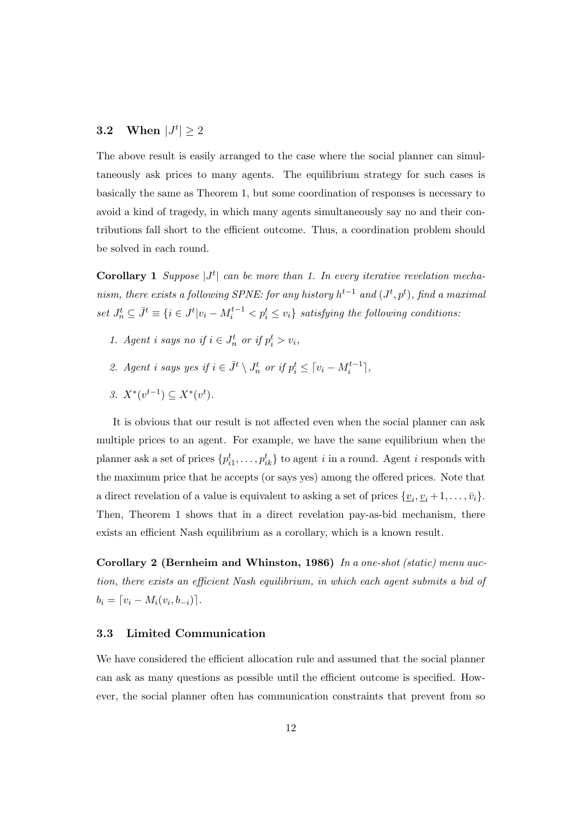# **3.2** When  $|J^t| \ge 2$

The above result is easily arranged to the case where the social planner can simultaneously ask prices to many agents. The equilibrium strategy for such cases is basically the same as Theorem 1, but some coordination of responses is necessary to avoid a kind of tragedy, in which many agents simultaneously say no and their contributions fall short to the efficient outcome. Thus, a coordination problem should be solved in each round.

**Corollary 1** *Suppose*  $|J^t|$  *can be more than 1. In every iterative revelation mechanism, there exists a following SPNE: for any history*  $h^{t-1}$  *and*  $(J^t, p^t)$ *, find a maximal* set  $J_n^t \subseteq \overline{J}^t \equiv \{i \in J^t | v_i - M_i^{t-1} < p_i^t \leq v_i\}$  satisfying the following conditions:

- *1. Agent i says no if*  $i \in J_n^t$  *or if*  $p_i^t > v_i$ ,
- 2. Agent i says yes if  $i \in \bar{J}^t \setminus J_n^t$  or if  $p_i^t \leq \lceil v_i M_i^{t-1} \rceil$ ,
- *3.*  $X^*(v^{t-1}) \subseteq X^*(v^t)$ .

It is obvious that our result is not affected even when the social planner can ask multiple prices to an agent. For example, we have the same equilibrium when the planner ask a set of prices  $\{p_{i1}^t, \ldots, p_{ik}^t\}$  to agent *i* in a round. Agent *i* responds with the maximum price that he accepts (or says yes) among the offered prices. Note that a direct revelation of a value is equivalent to asking a set of prices  $\{v_i, v_i + 1, \ldots, \bar{v}_i\}.$ Then, Theorem 1 shows that in a direct revelation pay-as-bid mechanism, there exists an efficient Nash equilibrium as a corollary, which is a known result.

**Corollary 2 (Bernheim and Whinston, 1986)** *In a one-shot (static) menu auction, there exists an efficient Nash equilibrium, in which each agent submits a bid of*  $b_i = [v_i - M_i(v_i, b_{-i})].$ 

## **3.3 Limited Communication**

We have considered the efficient allocation rule and assumed that the social planner can ask as many questions as possible until the efficient outcome is specified. However, the social planner often has communication constraints that prevent from so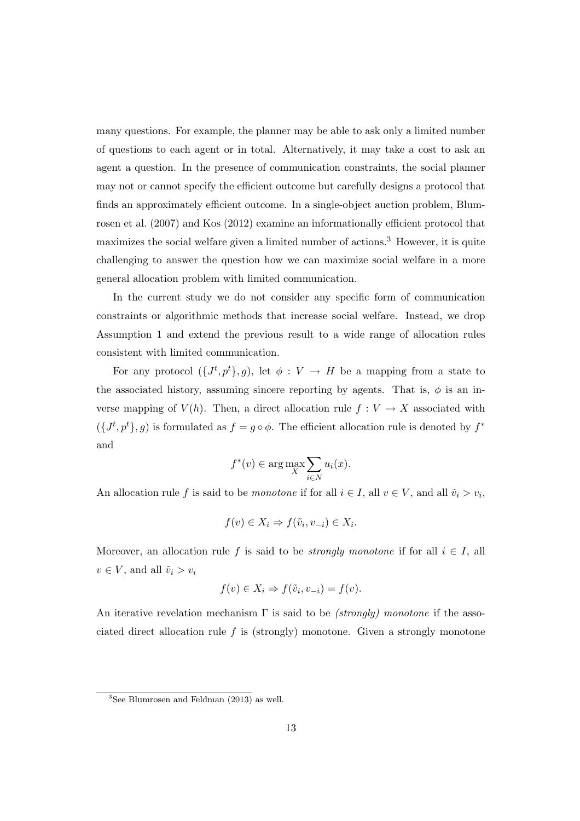many questions. For example, the planner may be able to ask only a limited number of questions to each agent or in total. Alternatively, it may take a cost to ask an agent a question. In the presence of communication constraints, the social planner may not or cannot specify the efficient outcome but carefully designs a protocol that finds an approximately efficient outcome. In a single-object auction problem, Blumrosen et al. (2007) and Kos (2012) examine an informationally efficient protocol that maximizes the social welfare given a limited number of actions.<sup>3</sup> However, it is quite challenging to answer the question how we can maximize social welfare in a more general allocation problem with limited communication.

In the current study we do not consider any specific form of communication constraints or algorithmic methods that increase social welfare. Instead, we drop Assumption 1 and extend the previous result to a wide range of allocation rules consistent with limited communication.

For any protocol  $({J^t, p^t}, g)$ , let  $\phi: V \to H$  be a mapping from a state to the associated history, assuming sincere reporting by agents. That is,  $\phi$  is an inverse mapping of  $V(h)$ . Then, a direct allocation rule  $f: V \to X$  associated with  $(f^{t}, p^{t}, g)$  is formulated as  $f = g \circ \phi$ . The efficient allocation rule is denoted by  $f^*$ and

$$
f^*(v) \in \arg\max_X \sum_{i \in N} u_i(x).
$$

An allocation rule f is said to be *monotone* if for all  $i \in I$ , all  $v \in V$ , and all  $\tilde{v}_i > v_i$ ,

$$
f(v) \in X_i \Rightarrow f(\tilde{v}_i, v_{-i}) \in X_i.
$$

Moreover, an allocation rule f is said to be *strongly monotone* if for all  $i \in I$ , all  $v \in V$ , and all  $\tilde{v}_i > v_i$ 

$$
f(v) \in X_i \Rightarrow f(\tilde{v}_i, v_{-i}) = f(v).
$$

An iterative revelation mechanism Γ is said to be *(strongly) monotone* if the associated direct allocation rule *f* is (strongly) monotone. Given a strongly monotone

 ${}^{3}$ See Blumrosen and Feldman (2013) as well.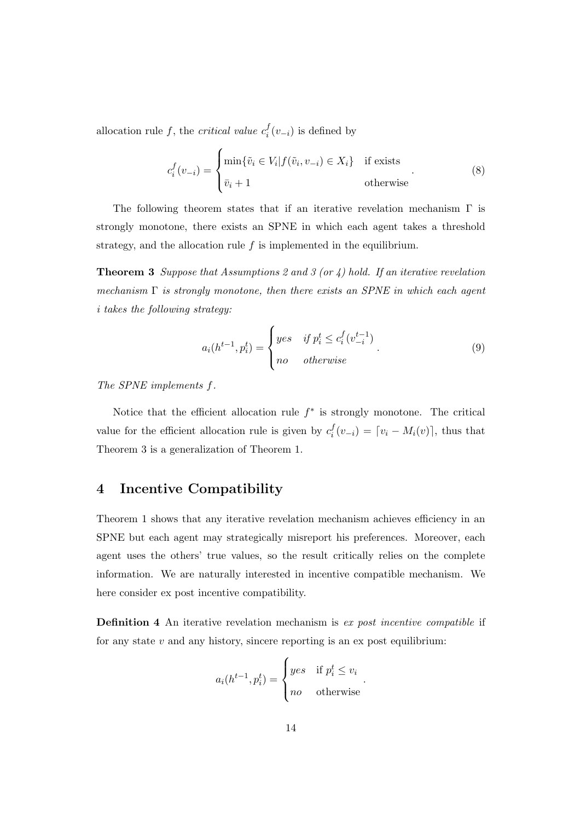allocation rule f, the *critical value*  $c_i^f$  $\int_i^J (v_{-i})$  is defined by

$$
c_i^f(v_{-i}) = \begin{cases} \min\{\tilde{v}_i \in V_i | f(\tilde{v}_i, v_{-i}) \in X_i\} & \text{if exists} \\ \bar{v}_i + 1 & \text{otherwise} \end{cases}
$$
(8)

The following theorem states that if an iterative revelation mechanism  $\Gamma$  is strongly monotone, there exists an SPNE in which each agent takes a threshold strategy, and the allocation rule *f* is implemented in the equilibrium.

**Theorem 3** *Suppose that Assumptions 2 and 3 (or 4) hold. If an iterative revelation mechanism* Γ *is strongly monotone, then there exists an SPNE in which each agent i takes the following strategy:*

$$
a_i(h^{t-1}, p_i^t) = \begin{cases} yes & if \ p_i^t \le c_i^f(v_{-i}^{t-1}) \\ no & otherwise \end{cases} \tag{9}
$$

*The SPNE implements f.*

Notice that the efficient allocation rule *f ∗* is strongly monotone. The critical value for the efficient allocation rule is given by  $c_i^f$  $\int_i^J (v_{-i}) = [v_i - M_i(v)]$ , thus that Theorem 3 is a generalization of Theorem 1.

# **4 Incentive Compatibility**

Theorem 1 shows that any iterative revelation mechanism achieves efficiency in an SPNE but each agent may strategically misreport his preferences. Moreover, each agent uses the others' true values, so the result critically relies on the complete information. We are naturally interested in incentive compatible mechanism. We here consider ex post incentive compatibility.

**Definition 4** An iterative revelation mechanism is *ex post incentive compatible* if for any state *v* and any history, sincere reporting is an ex post equilibrium:

$$
a_i(h^{t-1}, p_i^t) = \begin{cases} yes & \text{if } p_i^t \le v_i \\ no & \text{otherwise} \end{cases}.
$$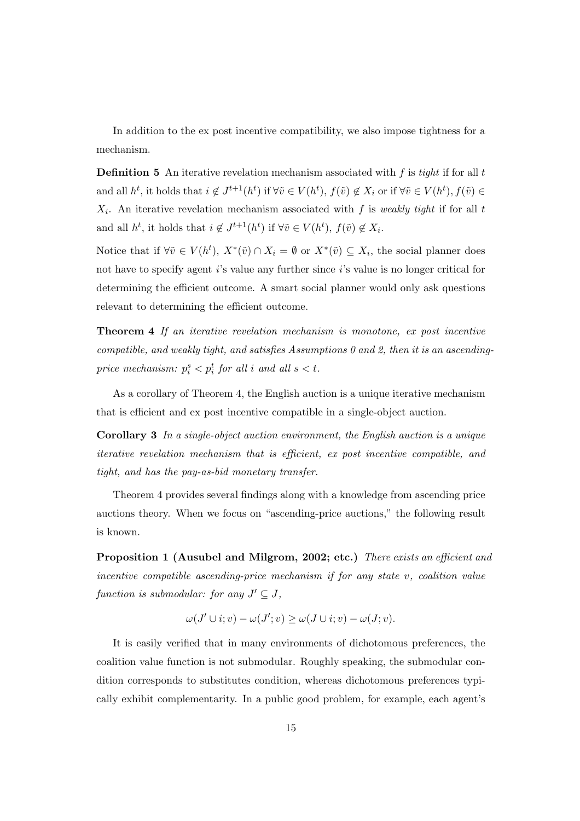In addition to the ex post incentive compatibility, we also impose tightness for a mechanism.

**Definition 5** An iterative revelation mechanism associated with *f* is *tight* if for all *t* and all  $h^t$ , it holds that  $i \notin J^{t+1}(h^t)$  if  $\forall \tilde{v} \in V(h^t)$ ,  $f(\tilde{v}) \notin X_i$  or if  $\forall \tilde{v} \in V(h^t)$ ,  $f(\tilde{v}) \in$ *X<sup>i</sup>* . An iterative revelation mechanism associated with *f* is *weakly tight* if for all *t* and all  $h^t$ , it holds that  $i \notin J^{t+1}(h^t)$  if  $\forall \tilde{v} \in V(h^t)$ ,  $f(\tilde{v}) \notin X_i$ .

Notice that if  $\forall \tilde{v} \in V(h^t), X^*(\tilde{v}) \cap X_i = \emptyset$  or  $X^*(\tilde{v}) \subseteq X_i$ , the social planner does not have to specify agent *i*'s value any further since *i*'s value is no longer critical for determining the efficient outcome. A smart social planner would only ask questions relevant to determining the efficient outcome.

**Theorem 4** *If an iterative revelation mechanism is monotone, ex post incentive compatible, and weakly tight, and satisfies Assumptions 0 and 2, then it is an ascendingprice mechanism:*  $p_i^s < p_i^t$  *for all i and all*  $s < t$ .

As a corollary of Theorem 4, the English auction is a unique iterative mechanism that is efficient and ex post incentive compatible in a single-object auction.

**Corollary 3** *In a single-object auction environment, the English auction is a unique iterative revelation mechanism that is efficient, ex post incentive compatible, and tight, and has the pay-as-bid monetary transfer.*

Theorem 4 provides several findings along with a knowledge from ascending price auctions theory. When we focus on "ascending-price auctions," the following result is known.

**Proposition 1 (Ausubel and Milgrom, 2002; etc.)** *There exists an efficient and incentive compatible ascending-price mechanism if for any state v, coalition value function is submodular: for any*  $J' \subseteq J$ ,

$$
\omega(J' \cup i; v) - \omega(J'; v) \ge \omega(J \cup i; v) - \omega(J; v).
$$

It is easily verified that in many environments of dichotomous preferences, the coalition value function is not submodular. Roughly speaking, the submodular condition corresponds to substitutes condition, whereas dichotomous preferences typically exhibit complementarity. In a public good problem, for example, each agent's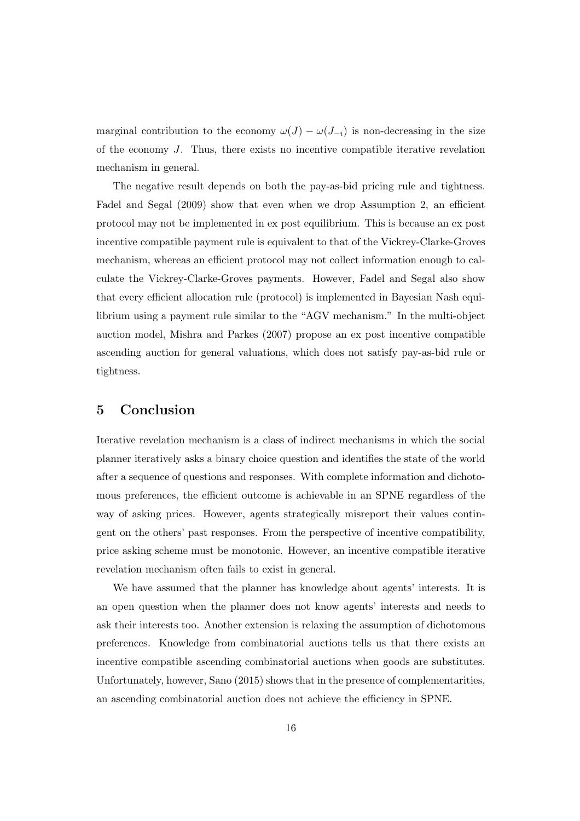marginal contribution to the economy  $\omega(J) - \omega(J_{-i})$  is non-decreasing in the size of the economy *J*. Thus, there exists no incentive compatible iterative revelation mechanism in general.

The negative result depends on both the pay-as-bid pricing rule and tightness. Fadel and Segal (2009) show that even when we drop Assumption 2, an efficient protocol may not be implemented in ex post equilibrium. This is because an ex post incentive compatible payment rule is equivalent to that of the Vickrey-Clarke-Groves mechanism, whereas an efficient protocol may not collect information enough to calculate the Vickrey-Clarke-Groves payments. However, Fadel and Segal also show that every efficient allocation rule (protocol) is implemented in Bayesian Nash equilibrium using a payment rule similar to the "AGV mechanism." In the multi-object auction model, Mishra and Parkes (2007) propose an ex post incentive compatible ascending auction for general valuations, which does not satisfy pay-as-bid rule or tightness.

## **5 Conclusion**

Iterative revelation mechanism is a class of indirect mechanisms in which the social planner iteratively asks a binary choice question and identifies the state of the world after a sequence of questions and responses. With complete information and dichotomous preferences, the efficient outcome is achievable in an SPNE regardless of the way of asking prices. However, agents strategically misreport their values contingent on the others' past responses. From the perspective of incentive compatibility, price asking scheme must be monotonic. However, an incentive compatible iterative revelation mechanism often fails to exist in general.

We have assumed that the planner has knowledge about agents' interests. It is an open question when the planner does not know agents' interests and needs to ask their interests too. Another extension is relaxing the assumption of dichotomous preferences. Knowledge from combinatorial auctions tells us that there exists an incentive compatible ascending combinatorial auctions when goods are substitutes. Unfortunately, however, Sano (2015) shows that in the presence of complementarities, an ascending combinatorial auction does not achieve the efficiency in SPNE.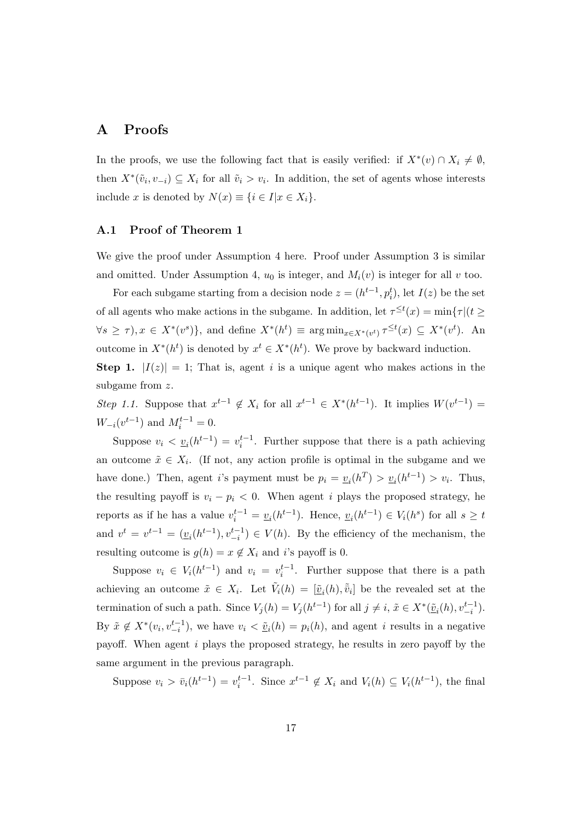# **A Proofs**

In the proofs, we use the following fact that is easily verified: if  $X^*(v) \cap X_i \neq \emptyset$ , then  $X^*(\tilde{v}_i, v_{-i}) \subseteq X_i$  for all  $\tilde{v}_i > v_i$ . In addition, the set of agents whose interests include *x* is denoted by  $N(x) \equiv \{i \in I | x \in X_i\}.$ 

## **A.1 Proof of Theorem 1**

We give the proof under Assumption 4 here. Proof under Assumption 3 is similar and omitted. Under Assumption 4,  $u_0$  is integer, and  $M_i(v)$  is integer for all  $v$  too.

For each subgame starting from a decision node  $z = (h^{t-1}, p_i^t)$ , let  $I(z)$  be the set of all agents who make actions in the subgame. In addition, let  $\tau^{\leq t}(x) = \min{\tau | (t \geq 0)}$  $\forall s \geq \tau$ ,  $x \in X^*(v^s)$ , and define  $X^*(h^t) \equiv \arg \min_{x \in X^*(v^t)} \tau^{\leq t}(x) \subseteq X^*(v^t)$ . An outcome in  $X^*(h^t)$  is denoted by  $x^t \in X^*(h^t)$ . We prove by backward induction. **Step 1.**  $|I(z)| = 1$ ; That is, agent *i* is a unique agent who makes actions in the

subgame from *z*.

Step 1.1. Suppose that  $x^{t-1} \notin X_i$  for all  $x^{t-1} \in X^*(h^{t-1})$ . It implies  $W(v^{t-1}) =$ *W*<sub>−*i*</sub>( $v^{t-1}$ ) and  $M_i^{t-1} = 0$ .

Suppose  $v_i < u_i(h^{t-1}) = v_i^{t-1}$ . Further suppose that there is a path achieving an outcome  $\tilde{x} \in X_i$ . (If not, any action profile is optimal in the subgame and we have done.) Then, agent *i*'s payment must be  $p_i = \underline{v}_i(h^T) > \underline{v}_i(h^{t-1}) > v_i$ . Thus, the resulting payoff is  $v_i - p_i < 0$ . When agent *i* plays the proposed strategy, he reports as if he has a value  $v_i^{t-1} = \underline{v}_i(h^{t-1})$ . Hence,  $\underline{v}_i(h^{t-1}) \in V_i(h^s)$  for all  $s \ge t$ and  $v^t = v^{t-1} = (\underline{v}_i(h^{t-1}), v_{-i}^{t-1}) \in V(h)$ . By the efficiency of the mechanism, the resulting outcome is  $g(h) = x \notin X_i$  and *i*'s payoff is 0.

Suppose  $v_i \in V_i(h^{t-1})$  and  $v_i = v_i^{t-1}$ . Further suppose that there is a path achieving an outcome  $\tilde{x} \in X_i$ . Let  $\tilde{V}_i(h) = [\underline{\tilde{v}}_i(h), \overline{\tilde{v}}_i]$  be the revealed set at the termination of such a path. Since  $V_j(h) = V_j(h^{t-1})$  for all  $j \neq i$ ,  $\tilde{x} \in X^*(\underline{\tilde{v}}_i(h), v_{-i}^{t-1})$ . By  $\tilde{x} \notin X^*(v_i, v_{-i}^{t-1})$ , we have  $v_i < \tilde{v}_i(h) = p_i(h)$ , and agent i results in a negative payoff. When agent *i* plays the proposed strategy, he results in zero payoff by the same argument in the previous paragraph.

Suppose  $v_i > \bar{v}_i(h^{t-1}) = v_i^{t-1}$ . Since  $x^{t-1} \notin X_i$  and  $V_i(h) \subseteq V_i(h^{t-1})$ , the final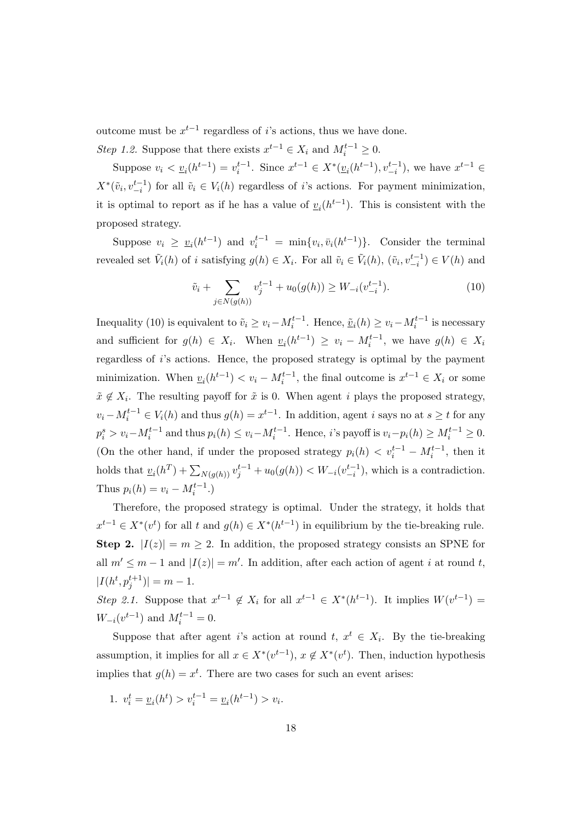outcome must be  $x^{t-1}$  regardless of *i*'s actions, thus we have done. *Step 1.2.* Suppose that there exists  $x^{t-1} \in X_i$  and  $M_i^{t-1} \geq 0$ .

Suppose  $v_i < \underline{v}_i(h^{t-1}) = v_i^{t-1}$ . Since  $x^{t-1} \in X^*(\underline{v}_i(h^{t-1}), v_{-i}^{t-1})$ , we have  $x^{t-1} \in$  $X^*(\tilde{v}_i, v_{-i}^{t-1})$  for all  $\tilde{v}_i \in V_i(h)$  regardless of *i*'s actions. For payment minimization, it is optimal to report as if he has a value of  $v_i(h^{t-1})$ . This is consistent with the proposed strategy.

Suppose  $v_i \geq v_i(h^{t-1})$  and  $v_i^{t-1} = \min\{v_i, \bar{v}_i(h^{t-1})\}\.$  Consider the terminal revealed set  $\tilde{V}_i(h)$  of i satisfying  $g(h) \in X_i$ . For all  $\tilde{v}_i \in \tilde{V}_i(h)$ ,  $(\tilde{v}_i, v_{-i}^{t-1}) \in V(h)$  and

$$
\tilde{v}_i + \sum_{j \in N(g(h))} v_j^{t-1} + u_0(g(h)) \ge W_{-i}(v_{-i}^{t-1}).\tag{10}
$$

Inequality (10) is equivalent to  $\tilde{v}_i \ge v_i - M_i^{t-1}$ . Hence,  $\underline{\tilde{v}}_i(h) \ge v_i - M_i^{t-1}$  is necessary and sufficient for  $g(h) \in X_i$ . When  $\underline{v}_i(h^{t-1}) \ge v_i - M_i^{t-1}$ , we have  $g(h) \in X_i$ regardless of *i*'s actions. Hence, the proposed strategy is optimal by the payment minimization. When  $v_i(h^{t-1}) < v_i - M_i^{t-1}$ , the final outcome is  $x^{t-1} \in X_i$  or some  $\tilde{x} \notin X_i$ . The resulting payoff for  $\tilde{x}$  is 0. When agent *i* plays the proposed strategy,  $v_i - M_i^{t-1} \in V_i(h)$  and thus  $g(h) = x^{t-1}$ . In addition, agent i says no at  $s \ge t$  for any  $p_i^s > v_i - M_i^{t-1}$  and thus  $p_i(h) \le v_i - M_i^{t-1}$ . Hence, *i*'s payoff is  $v_i - p_i(h) \ge M_i^{t-1} \ge 0$ . (On the other hand, if under the proposed strategy  $p_i(h) < v_i^{t-1} - M_i^{t-1}$ , then it holds that  $\underline{v}_i(h^T) + \sum_{N(g(h))} v_j^{t-1} + u_0(g(h)) < W_{-i}(v_{-i}^{t-1}),$  which is a contradiction. Thus  $p_i(h) = v_i - M_i^{t-1}$ .)

Therefore, the proposed strategy is optimal. Under the strategy, it holds that  $x^{t-1} \in X^*(v^t)$  for all *t* and  $g(h) \in X^*(h^{t-1})$  in equilibrium by the tie-breaking rule. **Step 2.**  $|I(z)| = m \ge 2$ . In addition, the proposed strategy consists an SPNE for all  $m' \leq m-1$  and  $|I(z)| = m'$ . In addition, after each action of agent *i* at round *t*,  $|I(h^t, p_j^{t+1})| = m - 1.$ 

Step 2.1. Suppose that  $x^{t-1} \notin X_i$  for all  $x^{t-1} \in X^*(h^{t-1})$ . It implies  $W(v^{t-1}) =$ *W*<sub>−*i*</sub>( $v^{t-1}$ ) and  $M_i^{t-1} = 0$ .

Suppose that after agent *i*'s action at round  $t, x^t \in X_i$ . By the tie-breaking assumption, it implies for all  $x \in X^*(v^{t-1})$ ,  $x \notin X^*(v^t)$ . Then, induction hypothesis implies that  $g(h) = x^t$ . There are two cases for such an event arises:

1.  $v_i^t = \underline{v}_i(h^t) > v_i^{t-1} = \underline{v}_i(h^{t-1}) > v_i$ .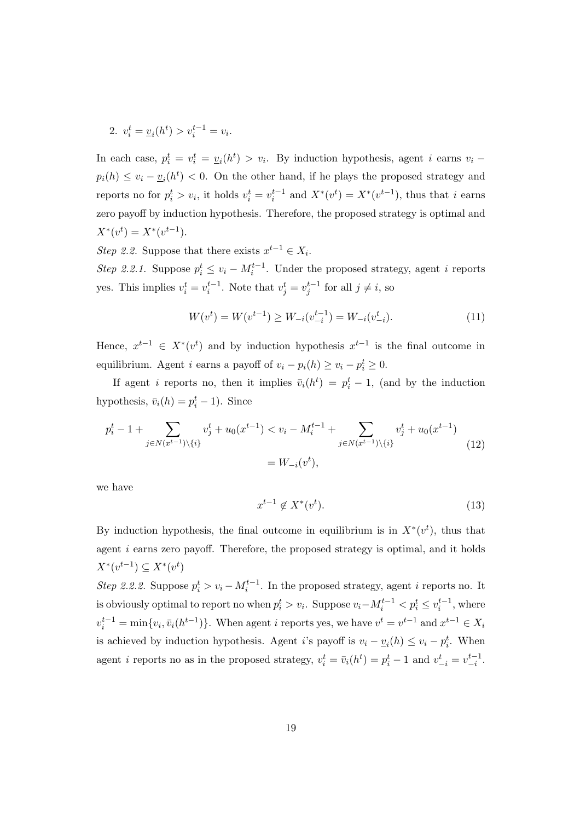2. 
$$
v_i^t = \underline{v}_i(h^t) > v_i^{t-1} = v_i
$$
.

In each case,  $p_i^t = v_i^t = \underline{v}_i(h^t) > v_i$ . By induction hypothesis, agent *i* earns  $v_i$  –  $p_i(h) \le v_i - \underline{v}_i(h^t) < 0$ . On the other hand, if he plays the proposed strategy and reports no for  $p_i^t > v_i$ , it holds  $v_i^t = v_i^{t-1}$  and  $X^*(v^t) = X^*(v^{t-1})$ , thus that i earns zero payoff by induction hypothesis. Therefore, the proposed strategy is optimal and  $X^*(v^t) = X^*(v^{t-1}).$ 

*Step 2.2.* Suppose that there exists  $x^{t-1} \in X_i$ .

*Step 2.2.1.* Suppose  $p_i^t \le v_i - M_i^{t-1}$ . Under the proposed strategy, agent *i* reports yes. This implies  $v_i^t = v_i^{t-1}$ . Note that  $v_j^t = v_j^{t-1}$  for all  $j \neq i$ , so

$$
W(v^{t}) = W(v^{t-1}) \ge W_{-i}(v_{-i}^{t-1}) = W_{-i}(v_{-i}^{t}).
$$
\n(11)

Hence,  $x^{t-1} \in X^*(v^t)$  and by induction hypothesis  $x^{t-1}$  is the final outcome in equilibrium. Agent *i* earns a payoff of  $v_i - p_i(h) \ge v_i - p_i^t \ge 0$ .

If agent *i* reports no, then it implies  $\bar{v}_i(h^t) = p_i^t - 1$ , (and by the induction hypothesis,  $\bar{v}_i(h) = p_i^t - 1$ . Since

$$
p_i^t - 1 + \sum_{j \in N(x^{t-1}) \setminus \{i\}} v_j^t + u_0(x^{t-1}) < v_i - M_i^{t-1} + \sum_{j \in N(x^{t-1}) \setminus \{i\}} v_j^t + u_0(x^{t-1})
$$
\n
$$
= W_{-i}(v^t), \tag{12}
$$

we have

$$
x^{t-1} \notin X^*(v^t). \tag{13}
$$

By induction hypothesis, the final outcome in equilibrium is in  $X^*(v^t)$ , thus that agent *i* earns zero payoff. Therefore, the proposed strategy is optimal, and it holds  $X^*(v^{t-1}) \subseteq X^*(v^t)$ 

*Step 2.2.2.* Suppose  $p_i^t > v_i - M_i^{t-1}$ . In the proposed strategy, agent *i* reports no. It is obviously optimal to report no when  $p_i^t > v_i$ . Suppose  $v_i - M_i^{t-1} < p_i^t \leq v_i^{t-1}$ , where  $v_i^{t-1} = \min\{v_i, \bar{v}_i(h^{t-1})\}\.$  When agent *i* reports yes, we have  $v^t = v^{t-1}$  and  $x^{t-1} \in X_i$ is achieved by induction hypothesis. Agent *i*'s payoff is  $v_i - \underline{v}_i(h) \le v_i - p_i^t$ . When agent *i* reports no as in the proposed strategy,  $v_i^t = \bar{v}_i(h^t) = p_i^t - 1$  and  $v_{-i}^t = v_{-i}^{t-1}$ .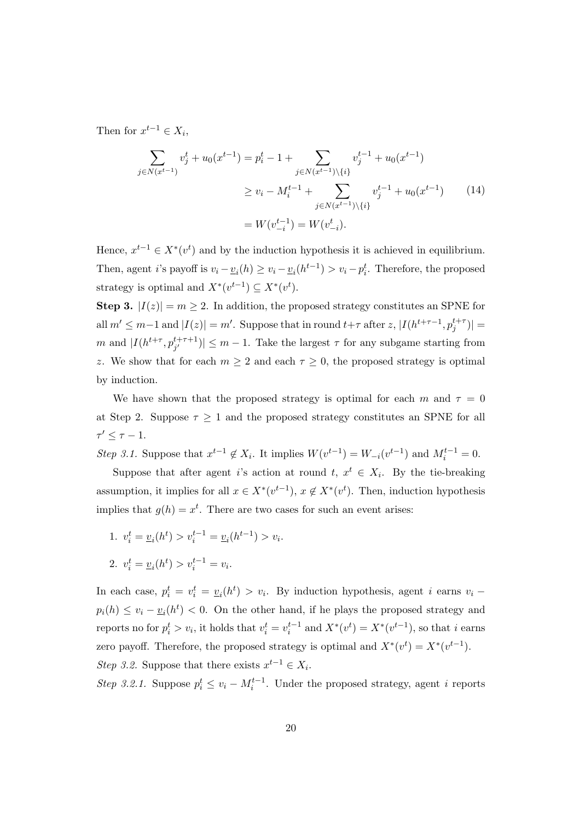Then for  $x^{t-1} \in X_i$ ,

$$
\sum_{j \in N(x^{t-1})} v_j^t + u_0(x^{t-1}) = p_i^t - 1 + \sum_{j \in N(x^{t-1}) \setminus \{i\}} v_j^{t-1} + u_0(x^{t-1})
$$
\n
$$
\ge v_i - M_i^{t-1} + \sum_{j \in N(x^{t-1}) \setminus \{i\}} v_j^{t-1} + u_0(x^{t-1}) \tag{14}
$$
\n
$$
= W(v_{-i}^{t-1}) = W(v_{-i}^t).
$$

Hence,  $x^{t-1} \in X^*(v^t)$  and by the induction hypothesis it is achieved in equilibrium. Then, agent *i*'s payoff is  $v_i - \underline{v}_i(h) \ge v_i - \underline{v}_i(h^{t-1}) > v_i - p_i^t$ . Therefore, the proposed strategy is optimal and  $X^*(v^{t-1}) \subseteq X^*(v^t)$ .

**Step 3.**  $|I(z)| = m \geq 2$ . In addition, the proposed strategy constitutes an SPNE for all  $m' \leq m-1$  and  $|I(z)| = m'$ . Suppose that in round  $t+\tau$  after z,  $|I(h^{t+\tau-1}, p_j^{t+\tau})|$  = *m* and  $|I(h^{t+\tau}, p_{j'}^{t+\tau+1})| \leq m-1$ . Take the largest  $\tau$  for any subgame starting from *z*. We show that for each  $m \geq 2$  and each  $\tau \geq 0$ , the proposed strategy is optimal by induction.

We have shown that the proposed strategy is optimal for each  $m$  and  $\tau = 0$ at Step 2. Suppose  $\tau \geq 1$  and the proposed strategy constitutes an SPNE for all  $\tau' \leq \tau - 1$ .

Step 3.1. Suppose that  $x^{t-1} \notin X_i$ . It implies  $W(v^{t-1}) = W_{-i}(v^{t-1})$  and  $M_i^{t-1} = 0$ .

Suppose that after agent *i*'s action at round  $t, x^t \in X_i$ . By the tie-breaking assumption, it implies for all  $x \in X^*(v^{t-1})$ ,  $x \notin X^*(v^t)$ . Then, induction hypothesis implies that  $g(h) = x^t$ . There are two cases for such an event arises:

- 1.  $v_i^t = \underline{v}_i(h^t) > v_i^{t-1} = \underline{v}_i(h^{t-1}) > v_i$ .
- 2.  $v_i^t = \underline{v}_i(h^t) > v_i^{t-1} = v_i.$

In each case,  $p_i^t = v_i^t = \underline{v}_i(h^t) > v_i$ . By induction hypothesis, agent *i* earns  $v_i$  –  $p_i(h) \le v_i - \underline{v}_i(h^t) < 0$ . On the other hand, if he plays the proposed strategy and reports no for  $p_i^t > v_i$ , it holds that  $v_i^t = v_i^{t-1}$  and  $X^*(v^t) = X^*(v^{t-1})$ , so that *i* earns zero payoff. Therefore, the proposed strategy is optimal and  $X^*(v^t) = X^*(v^{t-1})$ . *Step 3.2.* Suppose that there exists  $x^{t-1} \in X_i$ .

*Step 3.2.1.* Suppose  $p_i^t \le v_i - M_i^{t-1}$ . Under the proposed strategy, agent *i* reports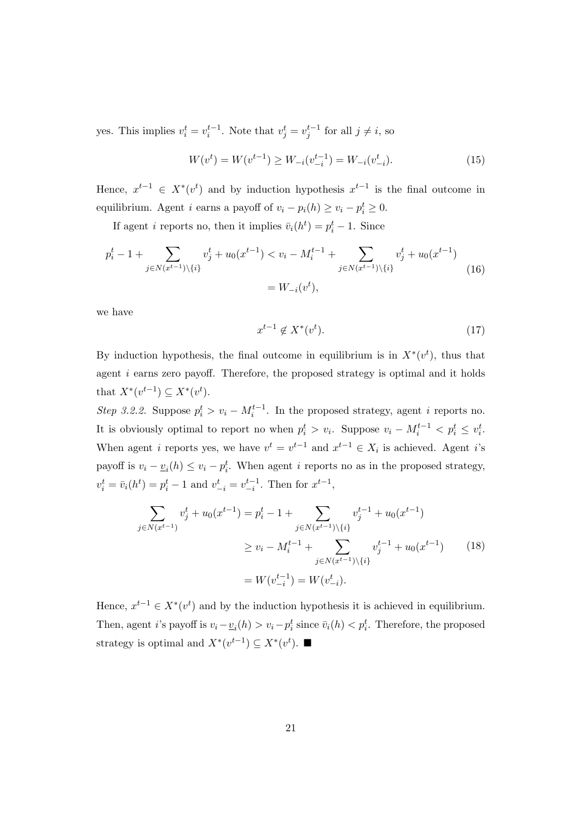yes. This implies  $v_i^t = v_i^{t-1}$ . Note that  $v_j^t = v_j^{t-1}$  for all  $j \neq i$ , so

$$
W(vt) = W(vt-1) \ge W_{-i}(v_{-i}^{t-1}) = W_{-i}(v_{-i}^t). \tag{15}
$$

Hence,  $x^{t-1} \in X^*(v^t)$  and by induction hypothesis  $x^{t-1}$  is the final outcome in equilibrium. Agent *i* earns a payoff of  $v_i - p_i(h) \ge v_i - p_i^t \ge 0$ .

If agent *i* reports no, then it implies  $\bar{v}_i(h^t) = p_i^t - 1$ . Since

$$
p_i^t - 1 + \sum_{j \in N(x^{t-1}) \setminus \{i\}} v_j^t + u_0(x^{t-1}) < v_i - M_i^{t-1} + \sum_{j \in N(x^{t-1}) \setminus \{i\}} v_j^t + u_0(x^{t-1})
$$
\n
$$
= W_{-i}(v^t), \tag{16}
$$

we have

$$
x^{t-1} \notin X^*(v^t). \tag{17}
$$

By induction hypothesis, the final outcome in equilibrium is in  $X^*(v^t)$ , thus that agent *i* earns zero payoff. Therefore, the proposed strategy is optimal and it holds that  $X^*(v^{t-1}) \subseteq X^*(v^t)$ .

*Step 3.2.2.* Suppose  $p_i^t > v_i - M_i^{t-1}$ . In the proposed strategy, agent *i* reports no. It is obviously optimal to report no when  $p_i^t > v_i$ . Suppose  $v_i - M_i^{t-1} < p_i^t \leq v_i^t$ . When agent *i* reports yes, we have  $v^t = v^{t-1}$  and  $x^{t-1} \in X_i$  is achieved. Agent *i*'s payoff is  $v_i - \underline{v}_i(h) \leq v_i - p_i^t$ . When agent *i* reports no as in the proposed strategy,  $v_i^t = \bar{v}_i(h^t) = p_i^t - 1$  and  $v_{-i}^t = v_{-i}^{t-1}$ . Then for  $x^{t-1}$ ,

$$
\sum_{j \in N(x^{t-1})} v_j^t + u_0(x^{t-1}) = p_i^t - 1 + \sum_{j \in N(x^{t-1}) \setminus \{i\}} v_j^{t-1} + u_0(x^{t-1})
$$
\n
$$
\ge v_i - M_i^{t-1} + \sum_{j \in N(x^{t-1}) \setminus \{i\}} v_j^{t-1} + u_0(x^{t-1}) \tag{18}
$$
\n
$$
= W(v_{-i}^{t-1}) = W(v_{-i}^t).
$$

Hence,  $x^{t-1} \in X^*(v^t)$  and by the induction hypothesis it is achieved in equilibrium. Then, agent *i*'s payoff is  $v_i - \underline{v}_i(h) > v_i - p_i^t$  since  $\overline{v}_i(h) < p_i^t$ . Therefore, the proposed strategy is optimal and  $X^*(v^{t-1}) \subseteq X^*(v^t)$ .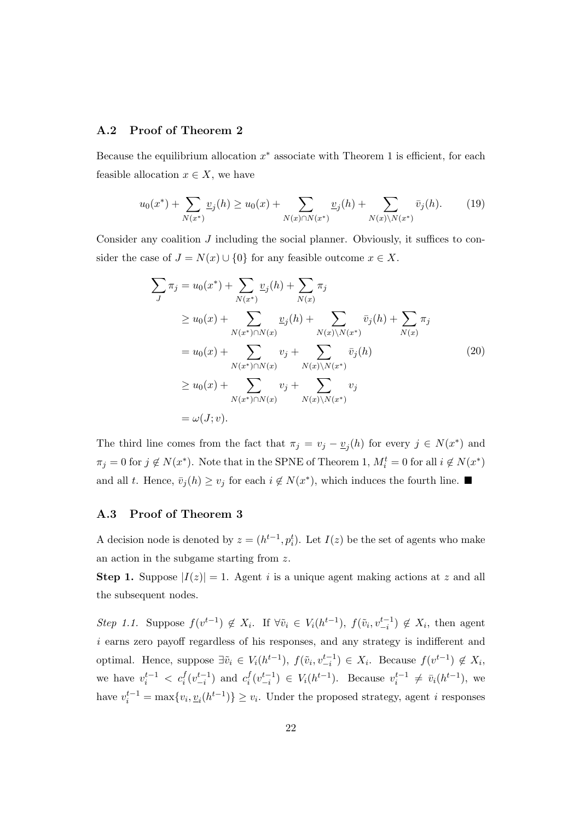## **A.2 Proof of Theorem 2**

Because the equilibrium allocation  $x^*$  associate with Theorem 1 is efficient, for each feasible allocation  $x \in X$ , we have

$$
u_0(x^*) + \sum_{N(x^*)} \underline{v}_j(h) \ge u_0(x) + \sum_{N(x) \cap N(x^*)} \underline{v}_j(h) + \sum_{N(x) \backslash N(x^*)} \overline{v}_j(h). \tag{19}
$$

Consider any coalition *J* including the social planner. Obviously, it suffices to consider the case of  $J = N(x) \cup \{0\}$  for any feasible outcome  $x \in X$ .

$$
\sum_{J} \pi_{j} = u_{0}(x^{*}) + \sum_{N(x^{*})} \underline{v}_{j}(h) + \sum_{N(x)} \pi_{j}
$$
\n
$$
\geq u_{0}(x) + \sum_{N(x^{*}) \cap N(x)} \underline{v}_{j}(h) + \sum_{N(x) \setminus N(x^{*})} \bar{v}_{j}(h) + \sum_{N(x)} \pi_{j}
$$
\n
$$
= u_{0}(x) + \sum_{N(x^{*}) \cap N(x)} v_{j} + \sum_{N(x) \setminus N(x^{*})} \bar{v}_{j}(h)
$$
\n
$$
\geq u_{0}(x) + \sum_{N(x^{*}) \cap N(x)} v_{j} + \sum_{N(x) \setminus N(x^{*})} v_{j}
$$
\n
$$
= \omega(J; v).
$$
\n(20)

The third line comes from the fact that  $\pi_j = v_j - \underline{v}_j(h)$  for every  $j \in N(x^*)$  and  $\pi_j = 0$  for  $j \notin N(x^*)$ . Note that in the SPNE of Theorem 1,  $M_i^t = 0$  for all  $i \notin N(x^*)$ and all *t*. Hence,  $\bar{v}_j(h) \ge v_j$  for each  $i \notin N(x^*)$ , which induces the fourth line.

## **A.3 Proof of Theorem 3**

A decision node is denoted by  $z = (h^{t-1}, p_i^t)$ . Let  $I(z)$  be the set of agents who make an action in the subgame starting from *z*.

**Step 1.** Suppose  $|I(z)| = 1$ . Agent *i* is a unique agent making actions at *z* and all the subsequent nodes.

Step 1.1. Suppose  $f(v^{t-1}) \notin X_i$ . If  $\forall \tilde{v}_i \in V_i(h^{t-1}), f(\tilde{v}_i, v_{-i}^{t-1}) \notin X_i$ , then agent *i* earns zero payoff regardless of his responses, and any strategy is indifferent and optimal. Hence, suppose  $\exists \tilde{v}_i \in V_i(h^{t-1}), f(\tilde{v}_i, v_{-i}^{t-1}) \in X_i$ . Because  $f(v^{t-1}) \notin X_i$ , we have  $v_i^{t-1} < c_i^f(v_{-i}^{t-1})$  and  $c_i^f$  $\int_{i}^{f} (v_{-i}^{t-1}) \in V_i(h^{t-1})$ . Because  $v_i^{t-1} \neq \bar{v}_i(h^{t-1})$ , we have  $v_i^{t-1} = \max\{v_i, \underline{v}_i(h^{t-1})\} \ge v_i$ . Under the proposed strategy, agent *i* responses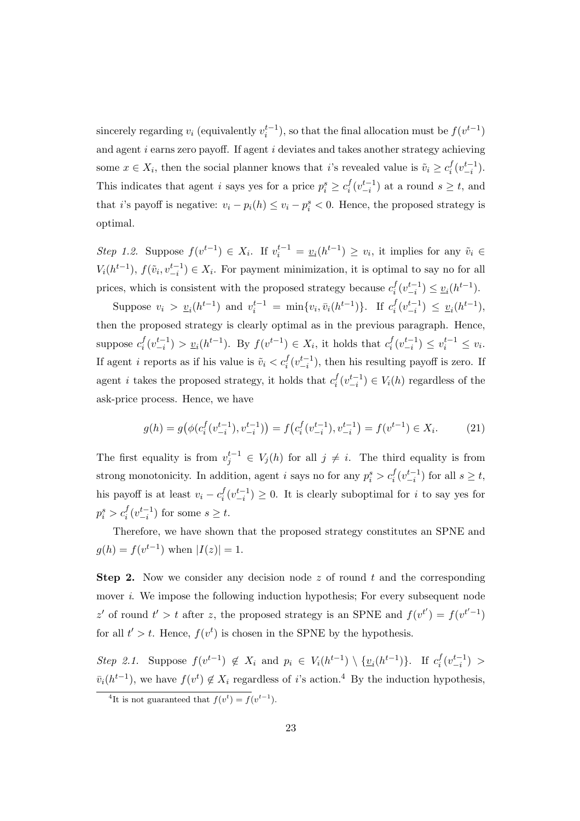sincerely regarding  $v_i$  (equivalently  $v_i^{t-1}$ ), so that the final allocation must be  $f(v^{t-1})$ and agent *i* earns zero payoff. If agent *i* deviates and takes another strategy achieving some  $x \in X_i$ , then the social planner knows that *i*'s revealed value is  $\tilde{v}_i \geq c_i^f$  $i^f(v_{-i}^{t-1})$ . This indicates that agent *i* says yes for a price  $p_i^s \geq c_i^f$  $\int_{i}^{f} (v_{-i}^{t-1})$  at a round *s* ≥ *t*, and that *i*'s payoff is negative:  $v_i - p_i(h) \le v_i - p_i^s < 0$ . Hence, the proposed strategy is optimal.

Step 1.2. Suppose  $f(v^{t-1}) \in X_i$ . If  $v_i^{t-1} = \underline{v}_i(h^{t-1}) \ge v_i$ , it implies for any  $\tilde{v}_i \in$  $V_i(h^{t-1}), f(\tilde{v}_i, v_{-i}^{t-1}) \in X_i$ . For payment minimization, it is optimal to say no for all prices, which is consistent with the proposed strategy because  $c_i^f$  $\frac{f}{i}(v_{-i}^{t-1}) \leq \underline{v}_i(h^{t-1}).$ 

Suppose  $v_i > v_i(h^{t-1})$  and  $v_i^{t-1} = \min\{v_i, \bar{v}_i(h^{t-1})\}$ . If  $c_i^f$  $\frac{f}{i}(v_{-i}^{t-1}) \leq v_i(h^{t-1}),$ then the proposed strategy is clearly optimal as in the previous paragraph. Hence, suppose  $c_i^f$  $f_i(v_{-i}^{t-1}) > v_i(h^{t-1})$ . By  $f(v^{t-1}) \in X_i$ , it holds that  $c_i^f$  $\frac{f}{i}(v_{-i}^{t-1}) \leq v_i^{t-1} \leq v_i.$ If agent *i* reports as if his value is  $\tilde{v}_i < c_i^f(v_{-i}^{t-1})$ , then his resulting payoff is zero. If agent *i* takes the proposed strategy, it holds that  $c_i^f$  $i$ <sup>*f*</sup><sub>*i*</sub></sub> $(v_{-i}^{t-1})$  ∈ *V<sub>i</sub>*(*h*) regardless of the ask-price process. Hence, we have

$$
g(h) = g\big(\phi(c_i^f(v_{-i}^{t-1}), v_{-i}^{t-1})\big) = f\big(c_i^f(v_{-i}^{t-1}), v_{-i}^{t-1}\big) = f(v^{t-1}) \in X_i.
$$
 (21)

The first equality is from  $v_j^{t-1} \in V_j(h)$  for all  $j \neq i$ . The third equality is from strong monotonicity. In addition, agent *i* says no for any  $p_i^s > c_i^f(v_{-i}^{t-1})$  for all  $s \ge t$ , his payoff is at least  $v_i - c_i^f$  $\int_i^f (v_{-i}^{t-1})$  ≥ 0. It is clearly suboptimal for *i* to say yes for  $p_i^s > c_i^f(v_{-i}^{t-1})$  for some  $s \ge t$ .

Therefore, we have shown that the proposed strategy constitutes an SPNE and  $g(h) = f(v^{t-1})$  when  $|I(z)| = 1$ .

**Step 2.** Now we consider any decision node *z* of round *t* and the corresponding mover *i*. We impose the following induction hypothesis; For every subsequent node *z*<sup>*t*</sup> of round  $t' > t$  after *z*, the proposed strategy is an SPNE and  $f(v^{t'}) = f(v^{t'-1})$ for all  $t' > t$ . Hence,  $f(v^t)$  is chosen in the SPNE by the hypothesis.

Step 2.1. Suppose  $f(v^{t-1}) \notin X_i$  and  $p_i \in V_i(h^{t-1}) \setminus {\underline{v}_i(h^{t-1})}$ . If  $c_i^f$  $\frac{f}{i}(v_{-i}^{t-1}) >$  $\bar{v}_i(h^{t-1})$ , we have  $f(v^t) \notin X_i$  regardless of *i*'s action.<sup>4</sup> By the induction hypothesis,

<sup>&</sup>lt;sup>4</sup>It is not guaranteed that  $f(v^t) = f(v^{t-1})$ .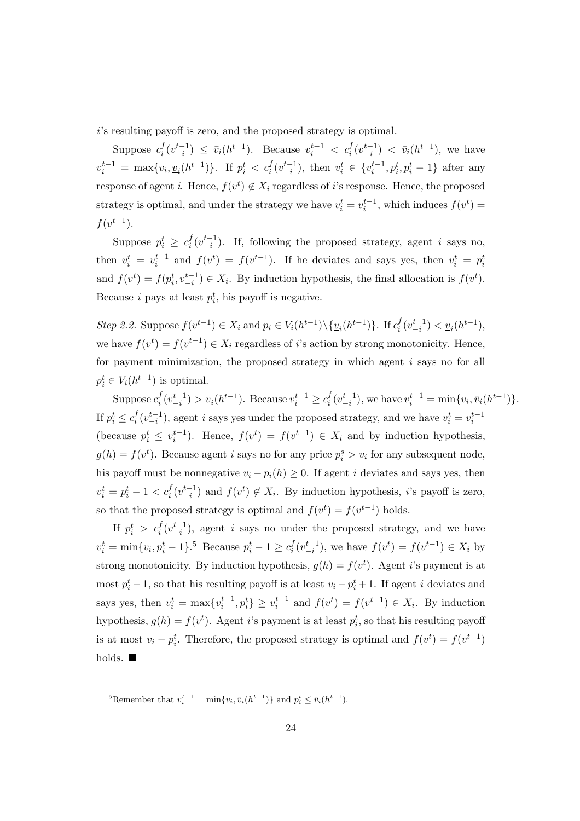*i*'s resulting payoff is zero, and the proposed strategy is optimal.

Suppose  $c_i^f$  $\bar{f}_i(v_{-i}^{t-1}) \leq \bar{v}_i(h^{t-1})$ . Because  $v_i^{t-1} < c_i^f(v_{-i}^{t-1}) < \bar{v}_i(h^{t-1})$ , we have  $v_i^{t-1} = \max\{v_i, \underline{v}_i(h^{t-1})\}$ . If  $p_i^t < c_i^f(v_{-i}^{t-1})$ , then  $v_i^t \in \{v_i^{t-1}, p_i^t, p_i^t - 1\}$  after any response of agent *i*. Hence,  $f(v^t) \notin X_i$  regardless of *i*'s response. Hence, the proposed strategy is optimal, and under the strategy we have  $v_i^t = v_i^{t-1}$ , which induces  $f(v^t) =$  $f(v^{t-1})$ .

Suppose  $p_i^t \geq c_i^f$  $\int_i^f (v_{-i}^{t-1})$ . If, following the proposed strategy, agent *i* says no, then  $v_i^t = v_i^{t-1}$  and  $f(v^t) = f(v^{t-1})$ . If he deviates and says yes, then  $v_i^t = p_i^t$ and  $f(v^t) = f(p_i^t, v_{-i}^{t-1}) \in X_i$ . By induction hypothesis, the final allocation is  $f(v^t)$ . Because *i* pays at least  $p_i^t$ , his payoff is negative.

Step 2.2. Suppose  $f(v^{t-1}) \in X_i$  and  $p_i \in V_i(h^{t-1}) \setminus \{ \underline{v}_i(h^{t-1}) \}$ . If  $c_i^f$  $\frac{f}{i}(v_{-i}^{t-1}) < \underline{v}_i(h^{t-1}),$ we have  $f(v^t) = f(v^{t-1}) \in X_i$  regardless of *i*'s action by strong monotonicity. Hence, for payment minimization, the proposed strategy in which agent *i* says no for all  $p_i^t \in V_i(h^{t-1})$  is optimal.

Suppose  $c_i^f$  $\frac{f}{i}(v_{-i}^{t-1}) > v_i(h^{t-1})$ . Because  $v_i^{t-1} \ge c_i^f$  $\int_{i}^{f} (v_{-i}^{t-1})$ , we have  $v_i^{t-1} = \min\{v_i, \bar{v}_i(h^{t-1})\}$ . If  $p_i^t \leq c_i^f$  $\int_i^f (v_{-i}^{t-1})$ , agent *i* says yes under the proposed strategy, and we have  $v_i^t = v_i^{t-1}$ (because  $p_i^t \leq v_i^{t-1}$ ). Hence,  $f(v^t) = f(v^{t-1}) \in X_i$  and by induction hypothesis,  $g(h) = f(v^t)$ . Because agent *i* says no for any price  $p_i^s > v_i$  for any subsequent node, his payoff must be nonnegative  $v_i - p_i(h) \geq 0$ . If agent *i* deviates and says yes, then  $v_i^t = p_i^t - 1 < c_i^f(v_{-i}^{t-1})$  and  $f(v^t) \notin X_i$ . By induction hypothesis, *i*'s payoff is zero, so that the proposed strategy is optimal and  $f(v^t) = f(v^{t-1})$  holds.

If  $p_i^t > c_i^f(v_{-i}^{t-1})$ , agent *i* says no under the proposed strategy, and we have  $v_i^t = \min\{v_i, p_i^t - 1\}$ .<sup>5</sup> Because  $p_i^t - 1 \ge c_i^f$  $f_i(v_{-i}^{t-1})$ , we have  $f(v^t) = f(v^{t-1}) \in X_i$  by strong monotonicity. By induction hypothesis,  $g(h) = f(v^t)$ . Agent *i*'s payment is at most  $p_i^t - 1$ , so that his resulting payoff is at least  $v_i - p_i^t + 1$ . If agent *i* deviates and says yes, then  $v_i^t = \max\{v_i^{t-1}, p_i^t\} \ge v_i^{t-1}$  and  $f(v^t) = f(v^{t-1}) \in X_i$ . By induction hypothesis,  $g(h) = f(v^t)$ . Agent *i*'s payment is at least  $p_i^t$ , so that his resulting payoff is at most  $v_i - p_i^t$ . Therefore, the proposed strategy is optimal and  $f(v^t) = f(v^{t-1})$ holds.  $\blacksquare$ 

<sup>5</sup>Remember that  $v_i^{t-1} = \min\{v_i, \bar{v}_i(h^{t-1})\}$  and  $p_i^t \leq \bar{v}_i(h^{t-1})$ .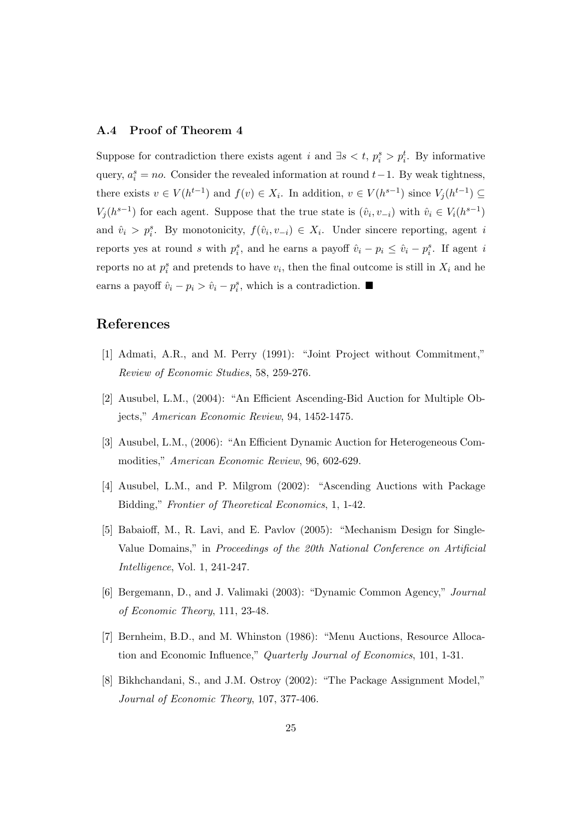## **A.4 Proof of Theorem 4**

Suppose for contradiction there exists agent *i* and  $\exists s < t$ ,  $p_i^s > p_i^t$ . By informative query,  $a_i^s = no$ . Consider the revealed information at round  $t-1$ . By weak tightness, there exists  $v \in V(h^{t-1})$  and  $f(v) \in X_i$ . In addition,  $v \in V(h^{s-1})$  since  $V_j(h^{t-1}) \subseteq$ *V*<sub>*j*</sub>( $h^{s-1}$ ) for each agent. Suppose that the true state is  $(\hat{v}_i, v_{-i})$  with  $\hat{v}_i \in V_i(h^{s-1})$ and  $\hat{v}_i > p_i^s$ . By monotonicity,  $f(\hat{v}_i, v_{-i}) \in X_i$ . Under sincere reporting, agent *i* reports yes at round *s* with  $p_i^s$ , and he earns a payoff  $\hat{v}_i - p_i \leq \hat{v}_i - p_i^s$ . If agent *i* reports no at  $p_i^s$  and pretends to have  $v_i$ , then the final outcome is still in  $X_i$  and he earns a payoff  $\hat{v}_i - p_i > \hat{v}_i - p_i^s$ , which is a contradiction.  $\blacksquare$ 

# **References**

- [1] Admati, A.R., and M. Perry (1991): "Joint Project without Commitment," *Review of Economic Studies*, 58, 259-276.
- [2] Ausubel, L.M., (2004): "An Efficient Ascending-Bid Auction for Multiple Objects," *American Economic Review*, 94, 1452-1475.
- [3] Ausubel, L.M., (2006): "An Efficient Dynamic Auction for Heterogeneous Commodities," *American Economic Review*, 96, 602-629.
- [4] Ausubel, L.M., and P. Milgrom (2002): "Ascending Auctions with Package Bidding," *Frontier of Theoretical Economics*, 1, 1-42.
- [5] Babaioff, M., R. Lavi, and E. Pavlov (2005): "Mechanism Design for Single-Value Domains," in *Proceedings of the 20th National Conference on Artificial Intelligence*, Vol. 1, 241-247.
- [6] Bergemann, D., and J. Valimaki (2003): "Dynamic Common Agency," *Journal of Economic Theory*, 111, 23-48.
- [7] Bernheim, B.D., and M. Whinston (1986): "Menu Auctions, Resource Allocation and Economic Influence," *Quarterly Journal of Economics*, 101, 1-31.
- [8] Bikhchandani, S., and J.M. Ostroy (2002): "The Package Assignment Model," *Journal of Economic Theory*, 107, 377-406.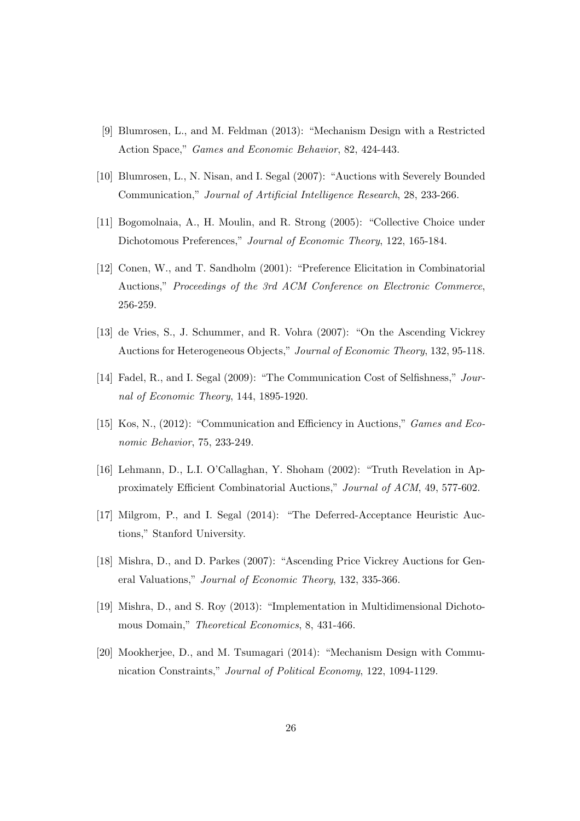- [9] Blumrosen, L., and M. Feldman (2013): "Mechanism Design with a Restricted Action Space," *Games and Economic Behavior*, 82, 424-443.
- [10] Blumrosen, L., N. Nisan, and I. Segal (2007): "Auctions with Severely Bounded Communication," *Journal of Artificial Intelligence Research*, 28, 233-266.
- [11] Bogomolnaia, A., H. Moulin, and R. Strong (2005): "Collective Choice under Dichotomous Preferences," *Journal of Economic Theory*, 122, 165-184.
- [12] Conen, W., and T. Sandholm (2001): "Preference Elicitation in Combinatorial Auctions," *Proceedings of the 3rd ACM Conference on Electronic Commerce*, 256-259.
- [13] de Vries, S., J. Schummer, and R. Vohra (2007): "On the Ascending Vickrey Auctions for Heterogeneous Objects," *Journal of Economic Theory*, 132, 95-118.
- [14] Fadel, R., and I. Segal (2009): "The Communication Cost of Selfishness," *Journal of Economic Theory*, 144, 1895-1920.
- [15] Kos, N., (2012): "Communication and Efficiency in Auctions," *Games and Economic Behavior*, 75, 233-249.
- [16] Lehmann, D., L.I. O'Callaghan, Y. Shoham (2002): "Truth Revelation in Approximately Efficient Combinatorial Auctions," *Journal of ACM*, 49, 577-602.
- [17] Milgrom, P., and I. Segal (2014): "The Deferred-Acceptance Heuristic Auctions," Stanford University.
- [18] Mishra, D., and D. Parkes (2007): "Ascending Price Vickrey Auctions for General Valuations," *Journal of Economic Theory*, 132, 335-366.
- [19] Mishra, D., and S. Roy (2013): "Implementation in Multidimensional Dichotomous Domain," *Theoretical Economics*, 8, 431-466.
- [20] Mookherjee, D., and M. Tsumagari (2014): "Mechanism Design with Communication Constraints," *Journal of Political Economy*, 122, 1094-1129.